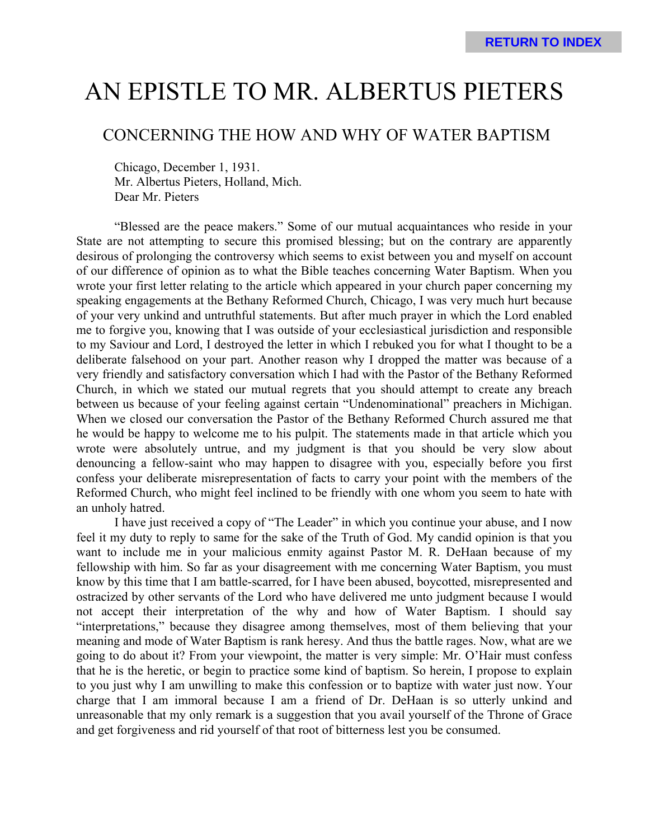# AN EPISTLE TO MR. ALBERTUS PIETERS

# CONCERNING THE HOW AND WHY OF WATER BAPTISM

Chicago, December 1, 1931. Mr. Albertus Pieters, Holland, Mich. Dear Mr. Pieters

"Blessed are the peace makers." Some of our mutual acquaintances who reside in your State are not attempting to secure this promised blessing; but on the contrary are apparently desirous of prolonging the controversy which seems to exist between you and myself on account of our difference of opinion as to what the Bible teaches concerning Water Baptism. When you wrote your first letter relating to the article which appeared in your church paper concerning my speaking engagements at the Bethany Reformed Church, Chicago, I was very much hurt because of your very unkind and untruthful statements. But after much prayer in which the Lord enabled me to forgive you, knowing that I was outside of your ecclesiastical jurisdiction and responsible to my Saviour and Lord, I destroyed the letter in which I rebuked you for what I thought to be a deliberate falsehood on your part. Another reason why I dropped the matter was because of a very friendly and satisfactory conversation which I had with the Pastor of the Bethany Reformed Church, in which we stated our mutual regrets that you should attempt to create any breach between us because of your feeling against certain "Undenominational" preachers in Michigan. When we closed our conversation the Pastor of the Bethany Reformed Church assured me that he would be happy to welcome me to his pulpit. The statements made in that article which you wrote were absolutely untrue, and my judgment is that you should be very slow about denouncing a fellow-saint who may happen to disagree with you, especially before you first confess your deliberate misrepresentation of facts to carry your point with the members of the Reformed Church, who might feel inclined to be friendly with one whom you seem to hate with an unholy hatred.

I have just received a copy of "The Leader" in which you continue your abuse, and I now feel it my duty to reply to same for the sake of the Truth of God. My candid opinion is that you want to include me in your malicious enmity against Pastor M. R. DeHaan because of my fellowship with him. So far as your disagreement with me concerning Water Baptism, you must know by this time that I am battle-scarred, for I have been abused, boycotted, misrepresented and ostracized by other servants of the Lord who have delivered me unto judgment because I would not accept their interpretation of the why and how of Water Baptism. I should say "interpretations," because they disagree among themselves, most of them believing that your meaning and mode of Water Baptism is rank heresy. And thus the battle rages. Now, what are we going to do about it? From your viewpoint, the matter is very simple: Mr. O'Hair must confess that he is the heretic, or begin to practice some kind of baptism. So herein, I propose to explain to you just why I am unwilling to make this confession or to baptize with water just now. Your charge that I am immoral because I am a friend of Dr. DeHaan is so utterly unkind and unreasonable that my only remark is a suggestion that you avail yourself of the Throne of Grace and get forgiveness and rid yourself of that root of bitterness lest you be consumed.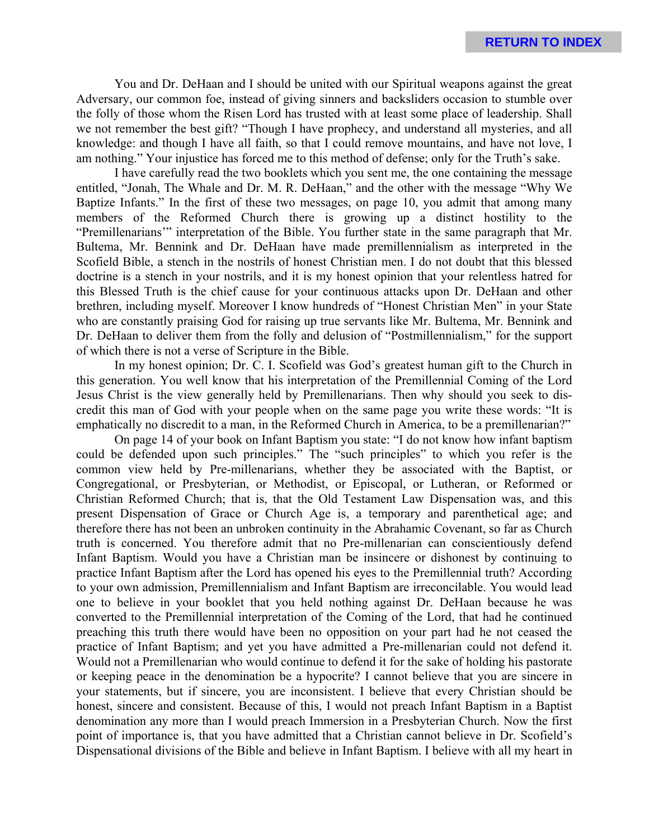You and Dr. DeHaan and I should be united with our Spiritual weapons against the great Adversary, our common foe, instead of giving sinners and backsliders occasion to stumble over the folly of those whom the Risen Lord has trusted with at least some place of leadership. Shall we not remember the best gift? "Though I have prophecy, and understand all mysteries, and all knowledge: and though I have all faith, so that I could remove mountains, and have not love, I am nothing." Your injustice has forced me to this method of defense; only for the Truth's sake.

I have carefully read the two booklets which you sent me, the one containing the message entitled, "Jonah, The Whale and Dr. M. R. DeHaan," and the other with the message "Why We Baptize Infants." In the first of these two messages, on page 10, you admit that among many members of the Reformed Church there is growing up a distinct hostility to the "Premillenarians'" interpretation of the Bible. You further state in the same paragraph that Mr. Bultema, Mr. Bennink and Dr. DeHaan have made premillennialism as interpreted in the Scofield Bible, a stench in the nostrils of honest Christian men. I do not doubt that this blessed doctrine is a stench in your nostrils, and it is my honest opinion that your relentless hatred for this Blessed Truth is the chief cause for your continuous attacks upon Dr. DeHaan and other brethren, including myself. Moreover I know hundreds of "Honest Christian Men" in your State who are constantly praising God for raising up true servants like Mr. Bultema, Mr. Bennink and Dr. DeHaan to deliver them from the folly and delusion of "Postmillennialism," for the support of which there is not a verse of Scripture in the Bible.

In my honest opinion; Dr. C. I. Scofield was God's greatest human gift to the Church in this generation. You well know that his interpretation of the Premillennial Coming of the Lord Jesus Christ is the view generally held by Premillenarians. Then why should you seek to discredit this man of God with your people when on the same page you write these words: "It is emphatically no discredit to a man, in the Reformed Church in America, to be a premillenarian?"

On page 14 of your book on Infant Baptism you state: "I do not know how infant baptism could be defended upon such principles." The "such principles" to which you refer is the common view held by Pre-millenarians, whether they be associated with the Baptist, or Congregational, or Presbyterian, or Methodist, or Episcopal, or Lutheran, or Reformed or Christian Reformed Church; that is, that the Old Testament Law Dispensation was, and this present Dispensation of Grace or Church Age is, a temporary and parenthetical age; and therefore there has not been an unbroken continuity in the Abrahamic Covenant, so far as Church truth is concerned. You therefore admit that no Pre-millenarian can conscientiously defend Infant Baptism. Would you have a Christian man be insincere or dishonest by continuing to practice Infant Baptism after the Lord has opened his eyes to the Premillennial truth? According to your own admission, Premillennialism and Infant Baptism are irreconcilable. You would lead one to believe in your booklet that you held nothing against Dr. DeHaan because he was converted to the Premillennial interpretation of the Coming of the Lord, that had he continued preaching this truth there would have been no opposition on your part had he not ceased the practice of Infant Baptism; and yet you have admitted a Pre-millenarian could not defend it. Would not a Premillenarian who would continue to defend it for the sake of holding his pastorate or keeping peace in the denomination be a hypocrite? I cannot believe that you are sincere in your statements, but if sincere, you are inconsistent. I believe that every Christian should be honest, sincere and consistent. Because of this, I would not preach Infant Baptism in a Baptist denomination any more than I would preach Immersion in a Presbyterian Church. Now the first point of importance is, that you have admitted that a Christian cannot believe in Dr. Scofield's Dispensational divisions of the Bible and believe in Infant Baptism. I believe with all my heart in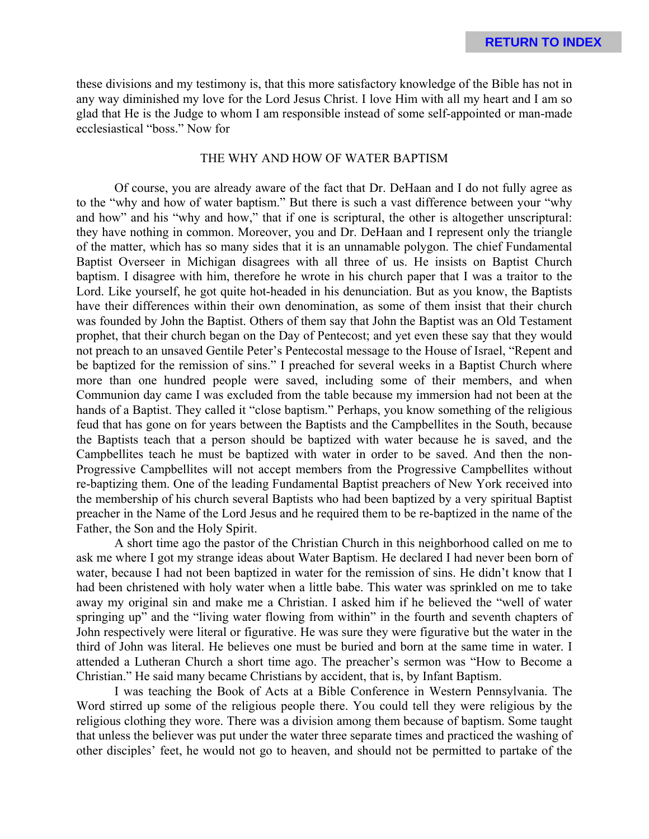these divisions and my testimony is, that this more satisfactory knowledge of the Bible has not in any way diminished my love for the Lord Jesus Christ. I love Him with all my heart and I am so glad that He is the Judge to whom I am responsible instead of some self-appointed or man-made ecclesiastical "boss." Now for

### THE WHY AND HOW OF WATER BAPTISM

Of course, you are already aware of the fact that Dr. DeHaan and I do not fully agree as to the "why and how of water baptism." But there is such a vast difference between your "why and how" and his "why and how," that if one is scriptural, the other is altogether unscriptural: they have nothing in common. Moreover, you and Dr. DeHaan and I represent only the triangle of the matter, which has so many sides that it is an unnamable polygon. The chief Fundamental Baptist Overseer in Michigan disagrees with all three of us. He insists on Baptist Church baptism. I disagree with him, therefore he wrote in his church paper that I was a traitor to the Lord. Like yourself, he got quite hot-headed in his denunciation. But as you know, the Baptists have their differences within their own denomination, as some of them insist that their church was founded by John the Baptist. Others of them say that John the Baptist was an Old Testament prophet, that their church began on the Day of Pentecost; and yet even these say that they would not preach to an unsaved Gentile Peter's Pentecostal message to the House of Israel, "Repent and be baptized for the remission of sins." I preached for several weeks in a Baptist Church where more than one hundred people were saved, including some of their members, and when Communion day came I was excluded from the table because my immersion had not been at the hands of a Baptist. They called it "close baptism." Perhaps, you know something of the religious feud that has gone on for years between the Baptists and the Campbellites in the South, because the Baptists teach that a person should be baptized with water because he is saved, and the Campbellites teach he must be baptized with water in order to be saved. And then the non-Progressive Campbellites will not accept members from the Progressive Campbellites without re-baptizing them. One of the leading Fundamental Baptist preachers of New York received into the membership of his church several Baptists who had been baptized by a very spiritual Baptist preacher in the Name of the Lord Jesus and he required them to be re-baptized in the name of the Father, the Son and the Holy Spirit.

A short time ago the pastor of the Christian Church in this neighborhood called on me to ask me where I got my strange ideas about Water Baptism. He declared I had never been born of water, because I had not been baptized in water for the remission of sins. He didn't know that I had been christened with holy water when a little babe. This water was sprinkled on me to take away my original sin and make me a Christian. I asked him if he believed the "well of water springing up" and the "living water flowing from within" in the fourth and seventh chapters of John respectively were literal or figurative. He was sure they were figurative but the water in the third of John was literal. He believes one must be buried and born at the same time in water. I attended a Lutheran Church a short time ago. The preacher's sermon was "How to Become a Christian." He said many became Christians by accident, that is, by Infant Baptism.

I was teaching the Book of Acts at a Bible Conference in Western Pennsylvania. The Word stirred up some of the religious people there. You could tell they were religious by the religious clothing they wore. There was a division among them because of baptism. Some taught that unless the believer was put under the water three separate times and practiced the washing of other disciples' feet, he would not go to heaven, and should not be permitted to partake of the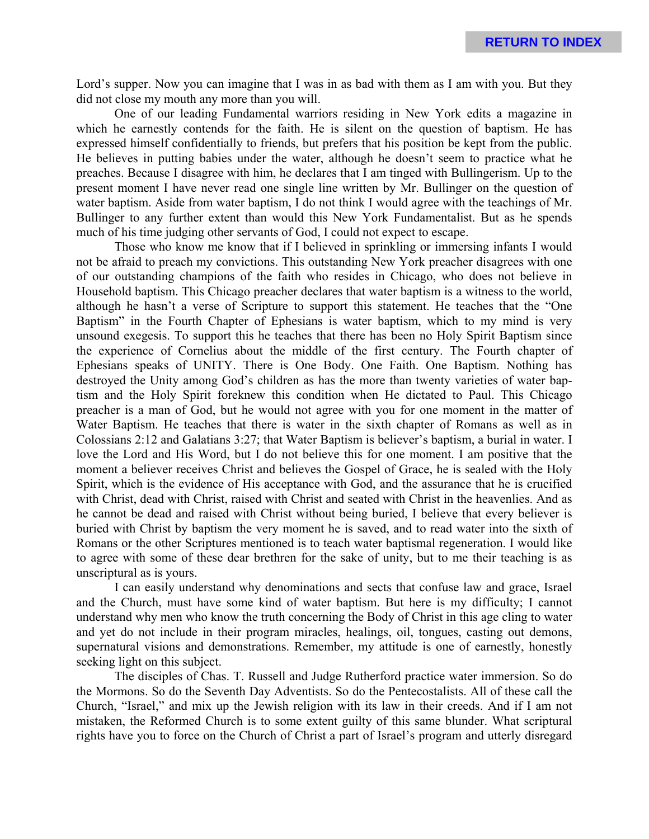Lord's supper. Now you can imagine that I was in as bad with them as I am with you. But they did not close my mouth any more than you will.

One of our leading Fundamental warriors residing in New York edits a magazine in which he earnestly contends for the faith. He is silent on the question of baptism. He has expressed himself confidentially to friends, but prefers that his position be kept from the public. He believes in putting babies under the water, although he doesn't seem to practice what he preaches. Because I disagree with him, he declares that I am tinged with Bullingerism. Up to the present moment I have never read one single line written by Mr. Bullinger on the question of water baptism. Aside from water baptism, I do not think I would agree with the teachings of Mr. Bullinger to any further extent than would this New York Fundamentalist. But as he spends much of his time judging other servants of God, I could not expect to escape.

Those who know me know that if I believed in sprinkling or immersing infants I would not be afraid to preach my convictions. This outstanding New York preacher disagrees with one of our outstanding champions of the faith who resides in Chicago, who does not believe in Household baptism. This Chicago preacher declares that water baptism is a witness to the world, although he hasn't a verse of Scripture to support this statement. He teaches that the "One Baptism" in the Fourth Chapter of Ephesians is water baptism, which to my mind is very unsound exegesis. To support this he teaches that there has been no Holy Spirit Baptism since the experience of Cornelius about the middle of the first century. The Fourth chapter of Ephesians speaks of UNITY. There is One Body. One Faith. One Baptism. Nothing has destroyed the Unity among God's children as has the more than twenty varieties of water baptism and the Holy Spirit foreknew this condition when He dictated to Paul. This Chicago preacher is a man of God, but he would not agree with you for one moment in the matter of Water Baptism. He teaches that there is water in the sixth chapter of Romans as well as in Colossians 2:12 and Galatians 3:27; that Water Baptism is believer's baptism, a burial in water. I love the Lord and His Word, but I do not believe this for one moment. I am positive that the moment a believer receives Christ and believes the Gospel of Grace, he is sealed with the Holy Spirit, which is the evidence of His acceptance with God, and the assurance that he is crucified with Christ, dead with Christ, raised with Christ and seated with Christ in the heavenlies. And as he cannot be dead and raised with Christ without being buried, I believe that every believer is buried with Christ by baptism the very moment he is saved, and to read water into the sixth of Romans or the other Scriptures mentioned is to teach water baptismal regeneration. I would like to agree with some of these dear brethren for the sake of unity, but to me their teaching is as unscriptural as is yours.

I can easily understand why denominations and sects that confuse law and grace, Israel and the Church, must have some kind of water baptism. But here is my difficulty; I cannot understand why men who know the truth concerning the Body of Christ in this age cling to water and yet do not include in their program miracles, healings, oil, tongues, casting out demons, supernatural visions and demonstrations. Remember, my attitude is one of earnestly, honestly seeking light on this subject.

The disciples of Chas. T. Russell and Judge Rutherford practice water immersion. So do the Mormons. So do the Seventh Day Adventists. So do the Pentecostalists. All of these call the Church, "Israel," and mix up the Jewish religion with its law in their creeds. And if I am not mistaken, the Reformed Church is to some extent guilty of this same blunder. What scriptural rights have you to force on the Church of Christ a part of Israel's program and utterly disregard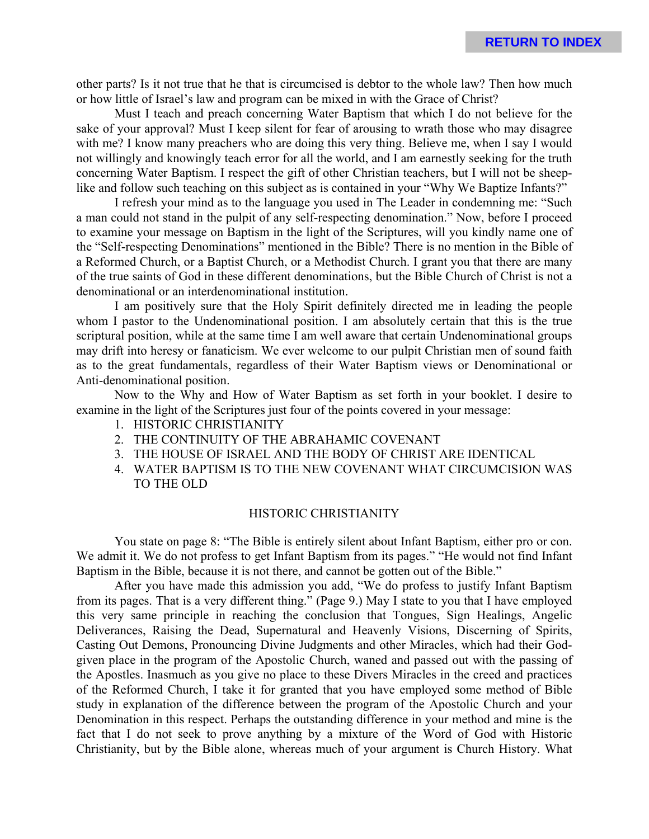other parts? Is it not true that he that is circumcised is debtor to the whole law? Then how much or how little of Israel's law and program can be mixed in with the Grace of Christ?

Must I teach and preach concerning Water Baptism that which I do not believe for the sake of your approval? Must I keep silent for fear of arousing to wrath those who may disagree with me? I know many preachers who are doing this very thing. Believe me, when I say I would not willingly and knowingly teach error for all the world, and I am earnestly seeking for the truth concerning Water Baptism. I respect the gift of other Christian teachers, but I will not be sheeplike and follow such teaching on this subject as is contained in your "Why We Baptize Infants?"

I refresh your mind as to the language you used in The Leader in condemning me: "Such a man could not stand in the pulpit of any self-respecting denomination." Now, before I proceed to examine your message on Baptism in the light of the Scriptures, will you kindly name one of the "Self-respecting Denominations" mentioned in the Bible? There is no mention in the Bible of a Reformed Church, or a Baptist Church, or a Methodist Church. I grant you that there are many of the true saints of God in these different denominations, but the Bible Church of Christ is not a denominational or an interdenominational institution.

I am positively sure that the Holy Spirit definitely directed me in leading the people whom I pastor to the Undenominational position. I am absolutely certain that this is the true scriptural position, while at the same time I am well aware that certain Undenominational groups may drift into heresy or fanaticism. We ever welcome to our pulpit Christian men of sound faith as to the great fundamentals, regardless of their Water Baptism views or Denominational or Anti-denominational position.

Now to the Why and How of Water Baptism as set forth in your booklet. I desire to examine in the light of the Scriptures just four of the points covered in your message:

- 1. HISTORIC CHRISTIANITY
- 2. THE CONTINUITY OF THE ABRAHAMIC COVENANT
- 3. THE HOUSE OF ISRAEL AND THE BODY OF CHRIST ARE IDENTICAL
- 4. WATER BAPTISM IS TO THE NEW COVENANT WHAT CIRCUMCISION WAS TO THE OLD

#### HISTORIC CHRISTIANITY

You state on page 8: "The Bible is entirely silent about Infant Baptism, either pro or con. We admit it. We do not profess to get Infant Baptism from its pages." "He would not find Infant Baptism in the Bible, because it is not there, and cannot be gotten out of the Bible."

After you have made this admission you add, "We do profess to justify Infant Baptism from its pages. That is a very different thing." (Page 9.) May I state to you that I have employed this very same principle in reaching the conclusion that Tongues, Sign Healings, Angelic Deliverances, Raising the Dead, Supernatural and Heavenly Visions, Discerning of Spirits, Casting Out Demons, Pronouncing Divine Judgments and other Miracles, which had their Godgiven place in the program of the Apostolic Church, waned and passed out with the passing of the Apostles. Inasmuch as you give no place to these Divers Miracles in the creed and practices of the Reformed Church, I take it for granted that you have employed some method of Bible study in explanation of the difference between the program of the Apostolic Church and your Denomination in this respect. Perhaps the outstanding difference in your method and mine is the fact that I do not seek to prove anything by a mixture of the Word of God with Historic Christianity, but by the Bible alone, whereas much of your argument is Church History. What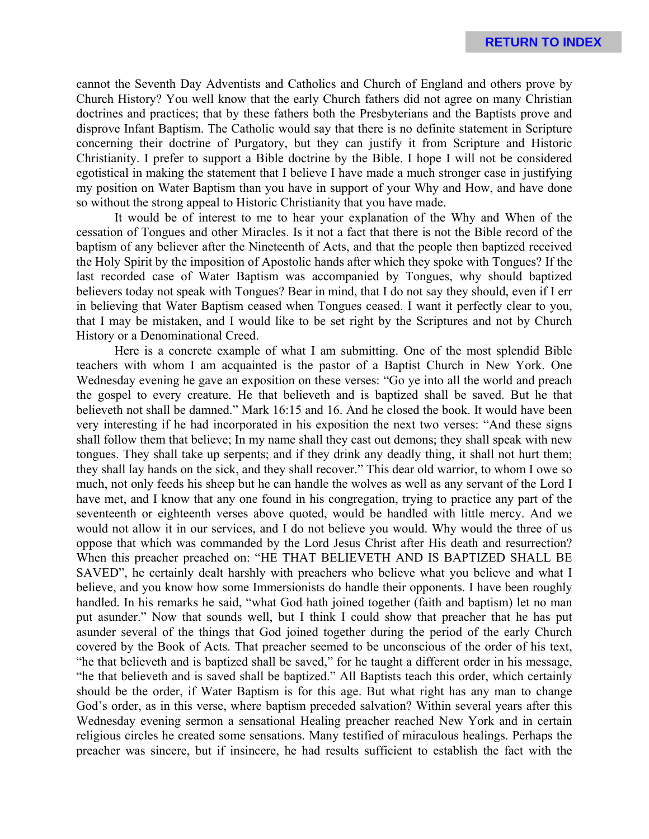cannot the Seventh Day Adventists and Catholics and Church of England and others prove by Church History? You well know that the early Church fathers did not agree on many Christian doctrines and practices; that by these fathers both the Presbyterians and the Baptists prove and disprove Infant Baptism. The Catholic would say that there is no definite statement in Scripture concerning their doctrine of Purgatory, but they can justify it from Scripture and Historic Christianity. I prefer to support a Bible doctrine by the Bible. I hope I will not be considered egotistical in making the statement that I believe I have made a much stronger case in justifying my position on Water Baptism than you have in support of your Why and How, and have done so without the strong appeal to Historic Christianity that you have made.

It would be of interest to me to hear your explanation of the Why and When of the cessation of Tongues and other Miracles. Is it not a fact that there is not the Bible record of the baptism of any believer after the Nineteenth of Acts, and that the people then baptized received the Holy Spirit by the imposition of Apostolic hands after which they spoke with Tongues? If the last recorded case of Water Baptism was accompanied by Tongues, why should baptized believers today not speak with Tongues? Bear in mind, that I do not say they should, even if I err in believing that Water Baptism ceased when Tongues ceased. I want it perfectly clear to you, that I may be mistaken, and I would like to be set right by the Scriptures and not by Church History or a Denominational Creed.

Here is a concrete example of what I am submitting. One of the most splendid Bible teachers with whom I am acquainted is the pastor of a Baptist Church in New York. One Wednesday evening he gave an exposition on these verses: "Go ye into all the world and preach the gospel to every creature. He that believeth and is baptized shall be saved. But he that believeth not shall be damned." Mark 16:15 and 16. And he closed the book. It would have been very interesting if he had incorporated in his exposition the next two verses: "And these signs shall follow them that believe; In my name shall they cast out demons; they shall speak with new tongues. They shall take up serpents; and if they drink any deadly thing, it shall not hurt them; they shall lay hands on the sick, and they shall recover." This dear old warrior, to whom I owe so much, not only feeds his sheep but he can handle the wolves as well as any servant of the Lord I have met, and I know that any one found in his congregation, trying to practice any part of the seventeenth or eighteenth verses above quoted, would be handled with little mercy. And we would not allow it in our services, and I do not believe you would. Why would the three of us oppose that which was commanded by the Lord Jesus Christ after His death and resurrection? When this preacher preached on: "HE THAT BELIEVETH AND IS BAPTIZED SHALL BE SAVED", he certainly dealt harshly with preachers who believe what you believe and what I believe, and you know how some Immersionists do handle their opponents. I have been roughly handled. In his remarks he said, "what God hath joined together (faith and baptism) let no man put asunder." Now that sounds well, but I think I could show that preacher that he has put asunder several of the things that God joined together during the period of the early Church covered by the Book of Acts. That preacher seemed to be unconscious of the order of his text, "he that believeth and is baptized shall be saved," for he taught a different order in his message, "he that believeth and is saved shall be baptized." All Baptists teach this order, which certainly should be the order, if Water Baptism is for this age. But what right has any man to change God's order, as in this verse, where baptism preceded salvation? Within several years after this Wednesday evening sermon a sensational Healing preacher reached New York and in certain religious circles he created some sensations. Many testified of miraculous healings. Perhaps the preacher was sincere, but if insincere, he had results sufficient to establish the fact with the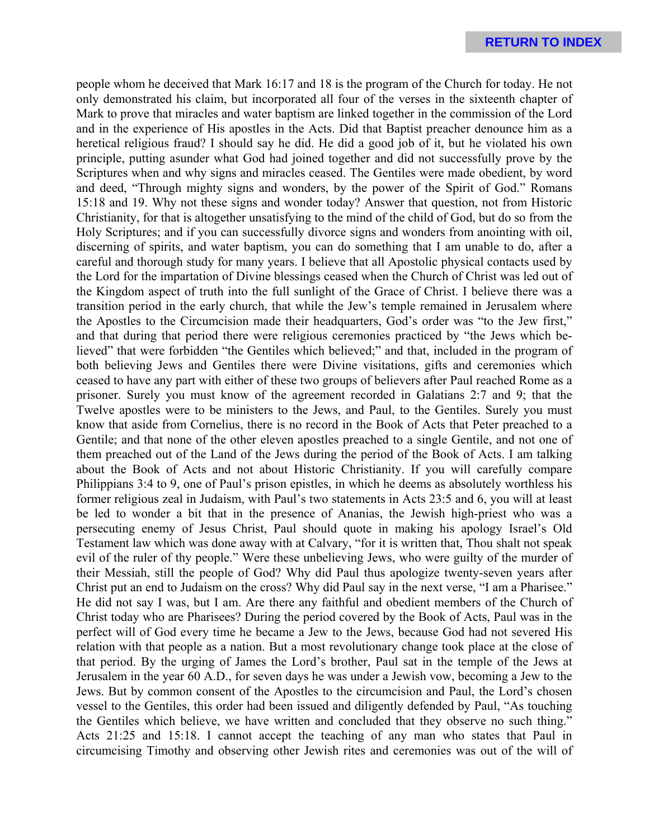people whom he deceived that Mark 16:17 and 18 is the program of the Church for today. He not only demonstrated his claim, but incorporated all four of the verses in the sixteenth chapter of Mark to prove that miracles and water baptism are linked together in the commission of the Lord and in the experience of His apostles in the Acts. Did that Baptist preacher denounce him as a heretical religious fraud? I should say he did. He did a good job of it, but he violated his own principle, putting asunder what God had joined together and did not successfully prove by the Scriptures when and why signs and miracles ceased. The Gentiles were made obedient, by word and deed, "Through mighty signs and wonders, by the power of the Spirit of God." Romans 15:18 and 19. Why not these signs and wonder today? Answer that question, not from Historic Christianity, for that is altogether unsatisfying to the mind of the child of God, but do so from the Holy Scriptures; and if you can successfully divorce signs and wonders from anointing with oil, discerning of spirits, and water baptism, you can do something that I am unable to do, after a careful and thorough study for many years. I believe that all Apostolic physical contacts used by the Lord for the impartation of Divine blessings ceased when the Church of Christ was led out of the Kingdom aspect of truth into the full sunlight of the Grace of Christ. I believe there was a transition period in the early church, that while the Jew's temple remained in Jerusalem where the Apostles to the Circumcision made their headquarters, God's order was "to the Jew first," and that during that period there were religious ceremonies practiced by "the Jews which believed" that were forbidden "the Gentiles which believed;" and that, included in the program of both believing Jews and Gentiles there were Divine visitations, gifts and ceremonies which ceased to have any part with either of these two groups of believers after Paul reached Rome as a prisoner. Surely you must know of the agreement recorded in Galatians 2:7 and 9; that the Twelve apostles were to be ministers to the Jews, and Paul, to the Gentiles. Surely you must know that aside from Cornelius, there is no record in the Book of Acts that Peter preached to a Gentile; and that none of the other eleven apostles preached to a single Gentile, and not one of them preached out of the Land of the Jews during the period of the Book of Acts. I am talking about the Book of Acts and not about Historic Christianity. If you will carefully compare Philippians 3:4 to 9, one of Paul's prison epistles, in which he deems as absolutely worthless his former religious zeal in Judaism, with Paul's two statements in Acts 23:5 and 6, you will at least be led to wonder a bit that in the presence of Ananias, the Jewish high-priest who was a persecuting enemy of Jesus Christ, Paul should quote in making his apology Israel's Old Testament law which was done away with at Calvary, "for it is written that, Thou shalt not speak evil of the ruler of thy people." Were these unbelieving Jews, who were guilty of the murder of their Messiah, still the people of God? Why did Paul thus apologize twenty-seven years after Christ put an end to Judaism on the cross? Why did Paul say in the next verse, "I am a Pharisee." He did not say I was, but I am. Are there any faithful and obedient members of the Church of Christ today who are Pharisees? During the period covered by the Book of Acts, Paul was in the perfect will of God every time he became a Jew to the Jews, because God had not severed His relation with that people as a nation. But a most revolutionary change took place at the close of that period. By the urging of James the Lord's brother, Paul sat in the temple of the Jews at Jerusalem in the year 60 A.D., for seven days he was under a Jewish vow, becoming a Jew to the Jews. But by common consent of the Apostles to the circumcision and Paul, the Lord's chosen vessel to the Gentiles, this order had been issued and diligently defended by Paul, "As touching the Gentiles which believe, we have written and concluded that they observe no such thing." Acts 21:25 and 15:18. I cannot accept the teaching of any man who states that Paul in circumcising Timothy and observing other Jewish rites and ceremonies was out of the will of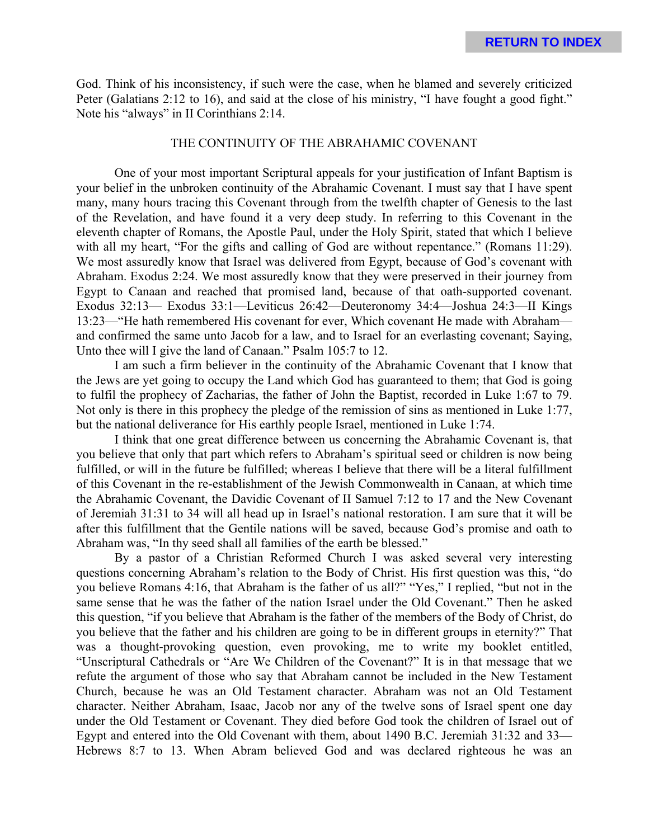God. Think of his inconsistency, if such were the case, when he blamed and severely criticized Peter (Galatians 2:12 to 16), and said at the close of his ministry, "I have fought a good fight." Note his "always" in II Corinthians 2:14.

#### THE CONTINUITY OF THE ABRAHAMIC COVENANT

One of your most important Scriptural appeals for your justification of Infant Baptism is your belief in the unbroken continuity of the Abrahamic Covenant. I must say that I have spent many, many hours tracing this Covenant through from the twelfth chapter of Genesis to the last of the Revelation, and have found it a very deep study. In referring to this Covenant in the eleventh chapter of Romans, the Apostle Paul, under the Holy Spirit, stated that which I believe with all my heart, "For the gifts and calling of God are without repentance." (Romans 11:29). We most assuredly know that Israel was delivered from Egypt, because of God's covenant with Abraham. Exodus 2:24. We most assuredly know that they were preserved in their journey from Egypt to Canaan and reached that promised land, because of that oath-supported covenant. Exodus 32:13— Exodus 33:1—Leviticus 26:42—Deuteronomy 34:4—Joshua 24:3—II Kings 13:23—"He hath remembered His covenant for ever, Which covenant He made with Abraham and confirmed the same unto Jacob for a law, and to Israel for an everlasting covenant; Saying, Unto thee will I give the land of Canaan." Psalm 105:7 to 12.

I am such a firm believer in the continuity of the Abrahamic Covenant that I know that the Jews are yet going to occupy the Land which God has guaranteed to them; that God is going to fulfil the prophecy of Zacharias, the father of John the Baptist, recorded in Luke 1:67 to 79. Not only is there in this prophecy the pledge of the remission of sins as mentioned in Luke 1:77, but the national deliverance for His earthly people Israel, mentioned in Luke 1:74.

I think that one great difference between us concerning the Abrahamic Covenant is, that you believe that only that part which refers to Abraham's spiritual seed or children is now being fulfilled, or will in the future be fulfilled; whereas I believe that there will be a literal fulfillment of this Covenant in the re-establishment of the Jewish Commonwealth in Canaan, at which time the Abrahamic Covenant, the Davidic Covenant of II Samuel 7:12 to 17 and the New Covenant of Jeremiah 31:31 to 34 will all head up in Israel's national restoration. I am sure that it will be after this fulfillment that the Gentile nations will be saved, because God's promise and oath to Abraham was, "In thy seed shall all families of the earth be blessed."

By a pastor of a Christian Reformed Church I was asked several very interesting questions concerning Abraham's relation to the Body of Christ. His first question was this, "do you believe Romans 4:16, that Abraham is the father of us all?" "Yes," I replied, "but not in the same sense that he was the father of the nation Israel under the Old Covenant." Then he asked this question, "if you believe that Abraham is the father of the members of the Body of Christ, do you believe that the father and his children are going to be in different groups in eternity?" That was a thought-provoking question, even provoking, me to write my booklet entitled, "Unscriptural Cathedrals or "Are We Children of the Covenant?" It is in that message that we refute the argument of those who say that Abraham cannot be included in the New Testament Church, because he was an Old Testament character. Abraham was not an Old Testament character. Neither Abraham, Isaac, Jacob nor any of the twelve sons of Israel spent one day under the Old Testament or Covenant. They died before God took the children of Israel out of Egypt and entered into the Old Covenant with them, about 1490 B.C. Jeremiah 31:32 and 33— Hebrews 8:7 to 13. When Abram believed God and was declared righteous he was an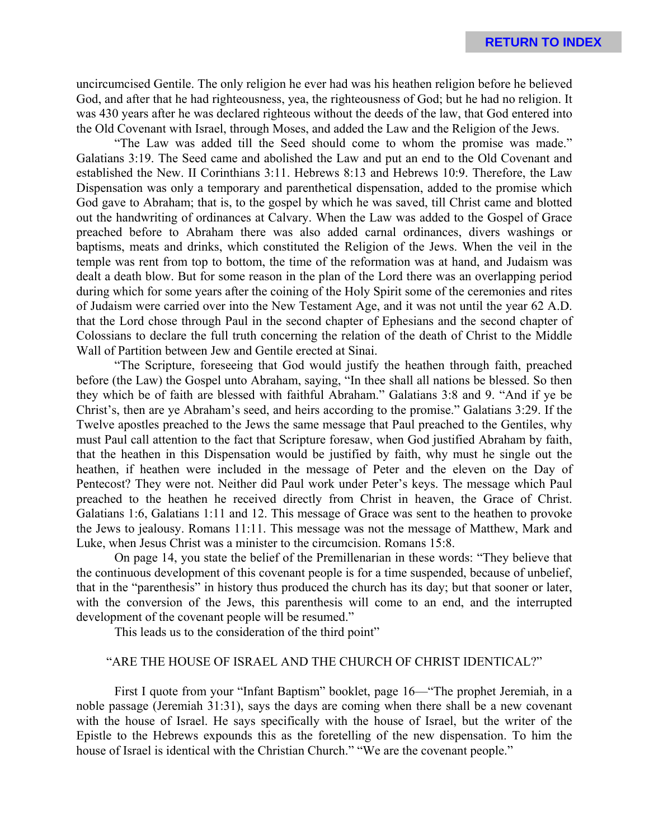uncircumcised Gentile. The only religion he ever had was his heathen religion before he believed God, and after that he had righteousness, yea, the righteousness of God; but he had no religion. It was 430 years after he was declared righteous without the deeds of the law, that God entered into the Old Covenant with Israel, through Moses, and added the Law and the Religion of the Jews.

"The Law was added till the Seed should come to whom the promise was made." Galatians 3:19. The Seed came and abolished the Law and put an end to the Old Covenant and established the New. II Corinthians 3:11. Hebrews 8:13 and Hebrews 10:9. Therefore, the Law Dispensation was only a temporary and parenthetical dispensation, added to the promise which God gave to Abraham; that is, to the gospel by which he was saved, till Christ came and blotted out the handwriting of ordinances at Calvary. When the Law was added to the Gospel of Grace preached before to Abraham there was also added carnal ordinances, divers washings or baptisms, meats and drinks, which constituted the Religion of the Jews. When the veil in the temple was rent from top to bottom, the time of the reformation was at hand, and Judaism was dealt a death blow. But for some reason in the plan of the Lord there was an overlapping period during which for some years after the coining of the Holy Spirit some of the ceremonies and rites of Judaism were carried over into the New Testament Age, and it was not until the year 62 A.D. that the Lord chose through Paul in the second chapter of Ephesians and the second chapter of Colossians to declare the full truth concerning the relation of the death of Christ to the Middle Wall of Partition between Jew and Gentile erected at Sinai.

"The Scripture, foreseeing that God would justify the heathen through faith, preached before (the Law) the Gospel unto Abraham, saying, "In thee shall all nations be blessed. So then they which be of faith are blessed with faithful Abraham." Galatians 3:8 and 9. "And if ye be Christ's, then are ye Abraham's seed, and heirs according to the promise." Galatians 3:29. If the Twelve apostles preached to the Jews the same message that Paul preached to the Gentiles, why must Paul call attention to the fact that Scripture foresaw, when God justified Abraham by faith, that the heathen in this Dispensation would be justified by faith, why must he single out the heathen, if heathen were included in the message of Peter and the eleven on the Day of Pentecost? They were not. Neither did Paul work under Peter's keys. The message which Paul preached to the heathen he received directly from Christ in heaven, the Grace of Christ. Galatians 1:6, Galatians 1:11 and 12. This message of Grace was sent to the heathen to provoke the Jews to jealousy. Romans 11:11. This message was not the message of Matthew, Mark and Luke, when Jesus Christ was a minister to the circumcision. Romans 15:8.

On page 14, you state the belief of the Premillenarian in these words: "They believe that the continuous development of this covenant people is for a time suspended, because of unbelief, that in the "parenthesis" in history thus produced the church has its day; but that sooner or later, with the conversion of the Jews, this parenthesis will come to an end, and the interrupted development of the covenant people will be resumed."

This leads us to the consideration of the third point"

# "ARE THE HOUSE OF ISRAEL AND THE CHURCH OF CHRIST IDENTICAL?"

First I quote from your "Infant Baptism" booklet, page 16—"The prophet Jeremiah, in a noble passage (Jeremiah 31:31), says the days are coming when there shall be a new covenant with the house of Israel. He says specifically with the house of Israel, but the writer of the Epistle to the Hebrews expounds this as the foretelling of the new dispensation. To him the house of Israel is identical with the Christian Church." "We are the covenant people."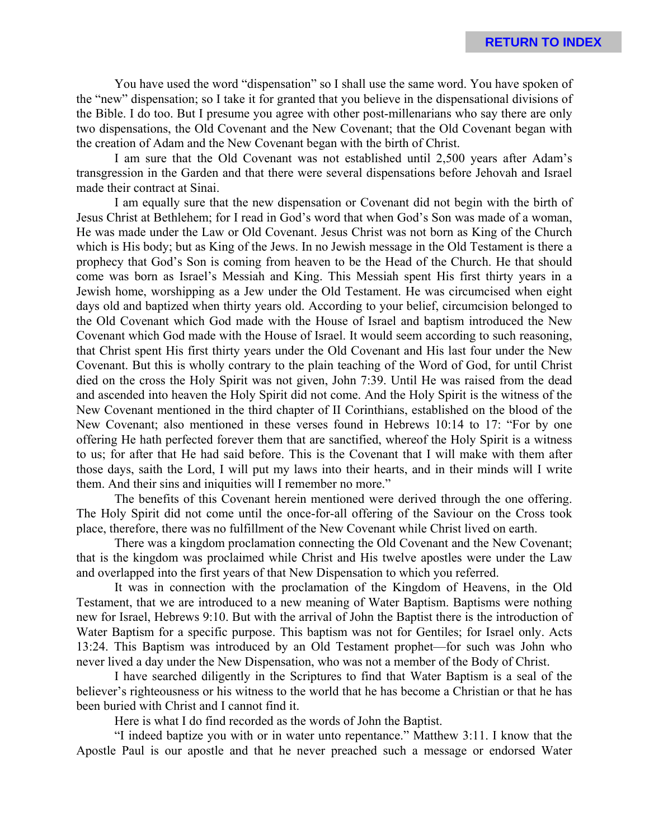You have used the word "dispensation" so I shall use the same word. You have spoken of the "new" dispensation; so I take it for granted that you believe in the dispensational divisions of the Bible. I do too. But I presume you agree with other post-millenarians who say there are only two dispensations, the Old Covenant and the New Covenant; that the Old Covenant began with the creation of Adam and the New Covenant began with the birth of Christ.

I am sure that the Old Covenant was not established until 2,500 years after Adam's transgression in the Garden and that there were several dispensations before Jehovah and Israel made their contract at Sinai.

I am equally sure that the new dispensation or Covenant did not begin with the birth of Jesus Christ at Bethlehem; for I read in God's word that when God's Son was made of a woman, He was made under the Law or Old Covenant. Jesus Christ was not born as King of the Church which is His body; but as King of the Jews. In no Jewish message in the Old Testament is there a prophecy that God's Son is coming from heaven to be the Head of the Church. He that should come was born as Israel's Messiah and King. This Messiah spent His first thirty years in a Jewish home, worshipping as a Jew under the Old Testament. He was circumcised when eight days old and baptized when thirty years old. According to your belief, circumcision belonged to the Old Covenant which God made with the House of Israel and baptism introduced the New Covenant which God made with the House of Israel. It would seem according to such reasoning, that Christ spent His first thirty years under the Old Covenant and His last four under the New Covenant. But this is wholly contrary to the plain teaching of the Word of God, for until Christ died on the cross the Holy Spirit was not given, John 7:39. Until He was raised from the dead and ascended into heaven the Holy Spirit did not come. And the Holy Spirit is the witness of the New Covenant mentioned in the third chapter of II Corinthians, established on the blood of the New Covenant; also mentioned in these verses found in Hebrews 10:14 to 17: "For by one offering He hath perfected forever them that are sanctified, whereof the Holy Spirit is a witness to us; for after that He had said before. This is the Covenant that I will make with them after those days, saith the Lord, I will put my laws into their hearts, and in their minds will I write them. And their sins and iniquities will I remember no more."

The benefits of this Covenant herein mentioned were derived through the one offering. The Holy Spirit did not come until the once-for-all offering of the Saviour on the Cross took place, therefore, there was no fulfillment of the New Covenant while Christ lived on earth.

There was a kingdom proclamation connecting the Old Covenant and the New Covenant; that is the kingdom was proclaimed while Christ and His twelve apostles were under the Law and overlapped into the first years of that New Dispensation to which you referred.

It was in connection with the proclamation of the Kingdom of Heavens, in the Old Testament, that we are introduced to a new meaning of Water Baptism. Baptisms were nothing new for Israel, Hebrews 9:10. But with the arrival of John the Baptist there is the introduction of Water Baptism for a specific purpose. This baptism was not for Gentiles; for Israel only. Acts 13:24. This Baptism was introduced by an Old Testament prophet—for such was John who never lived a day under the New Dispensation, who was not a member of the Body of Christ.

I have searched diligently in the Scriptures to find that Water Baptism is a seal of the believer's righteousness or his witness to the world that he has become a Christian or that he has been buried with Christ and I cannot find it.

Here is what I do find recorded as the words of John the Baptist.

"I indeed baptize you with or in water unto repentance." Matthew 3:11. I know that the Apostle Paul is our apostle and that he never preached such a message or endorsed Water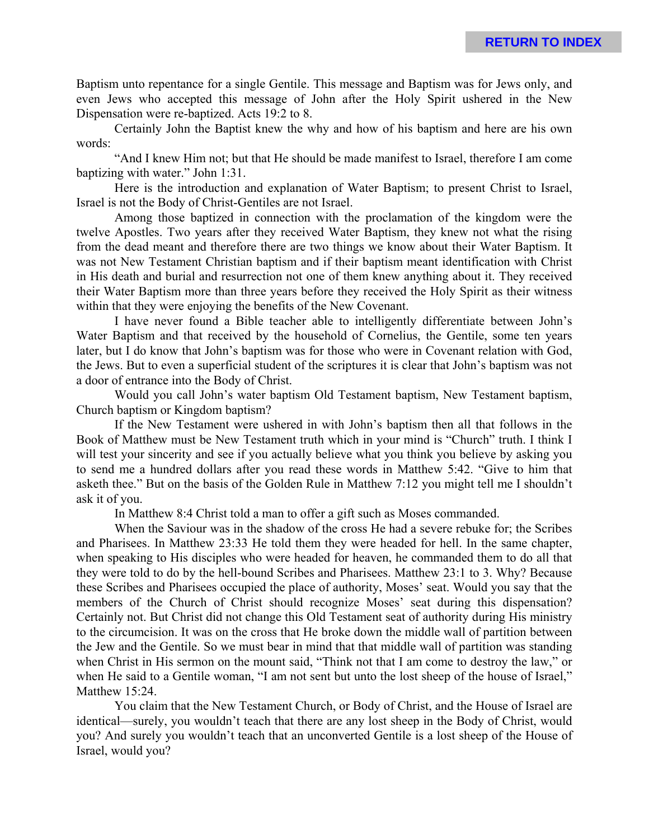Baptism unto repentance for a single Gentile. This message and Baptism was for Jews only, and even Jews who accepted this message of John after the Holy Spirit ushered in the New Dispensation were re-baptized. Acts 19:2 to 8.

Certainly John the Baptist knew the why and how of his baptism and here are his own words:

"And I knew Him not; but that He should be made manifest to Israel, therefore I am come baptizing with water." John 1:31.

Here is the introduction and explanation of Water Baptism; to present Christ to Israel, Israel is not the Body of Christ-Gentiles are not Israel.

Among those baptized in connection with the proclamation of the kingdom were the twelve Apostles. Two years after they received Water Baptism, they knew not what the rising from the dead meant and therefore there are two things we know about their Water Baptism. It was not New Testament Christian baptism and if their baptism meant identification with Christ in His death and burial and resurrection not one of them knew anything about it. They received their Water Baptism more than three years before they received the Holy Spirit as their witness within that they were enjoying the benefits of the New Covenant.

I have never found a Bible teacher able to intelligently differentiate between John's Water Baptism and that received by the household of Cornelius, the Gentile, some ten years later, but I do know that John's baptism was for those who were in Covenant relation with God, the Jews. But to even a superficial student of the scriptures it is clear that John's baptism was not a door of entrance into the Body of Christ.

Would you call John's water baptism Old Testament baptism, New Testament baptism, Church baptism or Kingdom baptism?

If the New Testament were ushered in with John's baptism then all that follows in the Book of Matthew must be New Testament truth which in your mind is "Church" truth. I think I will test your sincerity and see if you actually believe what you think you believe by asking you to send me a hundred dollars after you read these words in Matthew 5:42. "Give to him that asketh thee." But on the basis of the Golden Rule in Matthew 7:12 you might tell me I shouldn't ask it of you.

In Matthew 8:4 Christ told a man to offer a gift such as Moses commanded.

When the Saviour was in the shadow of the cross He had a severe rebuke for; the Scribes and Pharisees. In Matthew 23:33 He told them they were headed for hell. In the same chapter, when speaking to His disciples who were headed for heaven, he commanded them to do all that they were told to do by the hell-bound Scribes and Pharisees. Matthew 23:1 to 3. Why? Because these Scribes and Pharisees occupied the place of authority, Moses' seat. Would you say that the members of the Church of Christ should recognize Moses' seat during this dispensation? Certainly not. But Christ did not change this Old Testament seat of authority during His ministry to the circumcision. It was on the cross that He broke down the middle wall of partition between the Jew and the Gentile. So we must bear in mind that that middle wall of partition was standing when Christ in His sermon on the mount said, "Think not that I am come to destroy the law," or when He said to a Gentile woman, "I am not sent but unto the lost sheep of the house of Israel," Matthew 15:24.

You claim that the New Testament Church, or Body of Christ, and the House of Israel are identical—surely, you wouldn't teach that there are any lost sheep in the Body of Christ, would you? And surely you wouldn't teach that an unconverted Gentile is a lost sheep of the House of Israel, would you?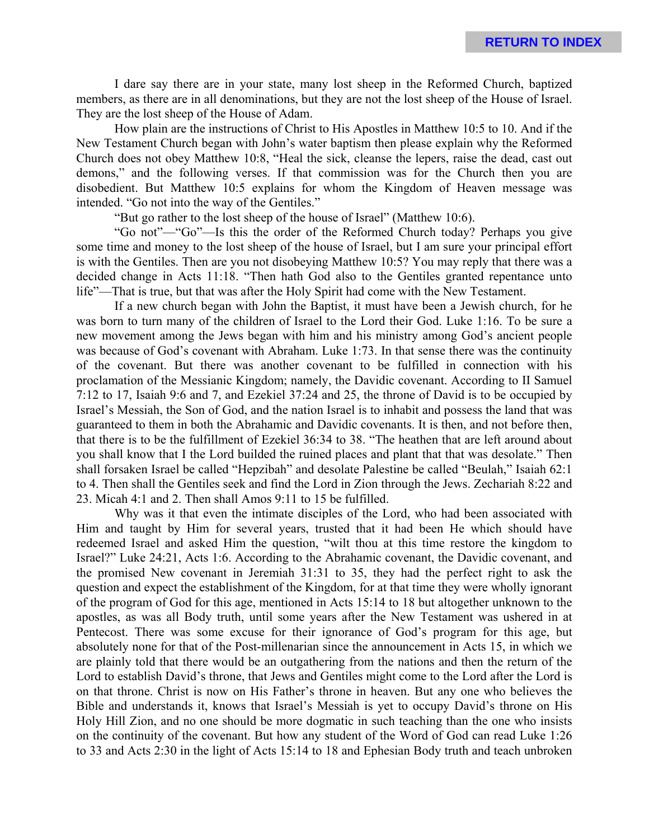I dare say there are in your state, many lost sheep in the Reformed Church, baptized members, as there are in all denominations, but they are not the lost sheep of the House of Israel. They are the lost sheep of the House of Adam.

How plain are the instructions of Christ to His Apostles in Matthew 10:5 to 10. And if the New Testament Church began with John's water baptism then please explain why the Reformed Church does not obey Matthew 10:8, "Heal the sick, cleanse the lepers, raise the dead, cast out demons," and the following verses. If that commission was for the Church then you are disobedient. But Matthew 10:5 explains for whom the Kingdom of Heaven message was intended. "Go not into the way of the Gentiles."

"But go rather to the lost sheep of the house of Israel" (Matthew 10:6).

"Go not"—"Go"—Is this the order of the Reformed Church today? Perhaps you give some time and money to the lost sheep of the house of Israel, but I am sure your principal effort is with the Gentiles. Then are you not disobeying Matthew 10:5? You may reply that there was a decided change in Acts 11:18. "Then hath God also to the Gentiles granted repentance unto life"—That is true, but that was after the Holy Spirit had come with the New Testament.

If a new church began with John the Baptist, it must have been a Jewish church, for he was born to turn many of the children of Israel to the Lord their God. Luke 1:16. To be sure a new movement among the Jews began with him and his ministry among God's ancient people was because of God's covenant with Abraham. Luke 1:73. In that sense there was the continuity of the covenant. But there was another covenant to be fulfilled in connection with his proclamation of the Messianic Kingdom; namely, the Davidic covenant. According to II Samuel 7:12 to 17, Isaiah 9:6 and 7, and Ezekiel 37:24 and 25, the throne of David is to be occupied by Israel's Messiah, the Son of God, and the nation Israel is to inhabit and possess the land that was guaranteed to them in both the Abrahamic and Davidic covenants. It is then, and not before then, that there is to be the fulfillment of Ezekiel 36:34 to 38. "The heathen that are left around about you shall know that I the Lord builded the ruined places and plant that that was desolate." Then shall forsaken Israel be called "Hepzibah" and desolate Palestine be called "Beulah," Isaiah 62:1 to 4. Then shall the Gentiles seek and find the Lord in Zion through the Jews. Zechariah 8:22 and 23. Micah 4:1 and 2. Then shall Amos 9:11 to 15 be fulfilled.

Why was it that even the intimate disciples of the Lord, who had been associated with Him and taught by Him for several years, trusted that it had been He which should have redeemed Israel and asked Him the question, "wilt thou at this time restore the kingdom to Israel?" Luke 24:21, Acts 1:6. According to the Abrahamic covenant, the Davidic covenant, and the promised New covenant in Jeremiah 31:31 to 35, they had the perfect right to ask the question and expect the establishment of the Kingdom, for at that time they were wholly ignorant of the program of God for this age, mentioned in Acts 15:14 to 18 but altogether unknown to the apostles, as was all Body truth, until some years after the New Testament was ushered in at Pentecost. There was some excuse for their ignorance of God's program for this age, but absolutely none for that of the Post-millenarian since the announcement in Acts 15, in which we are plainly told that there would be an outgathering from the nations and then the return of the Lord to establish David's throne, that Jews and Gentiles might come to the Lord after the Lord is on that throne. Christ is now on His Father's throne in heaven. But any one who believes the Bible and understands it, knows that Israel's Messiah is yet to occupy David's throne on His Holy Hill Zion, and no one should be more dogmatic in such teaching than the one who insists on the continuity of the covenant. But how any student of the Word of God can read Luke 1:26 to 33 and Acts 2:30 in the light of Acts 15:14 to 18 and Ephesian Body truth and teach unbroken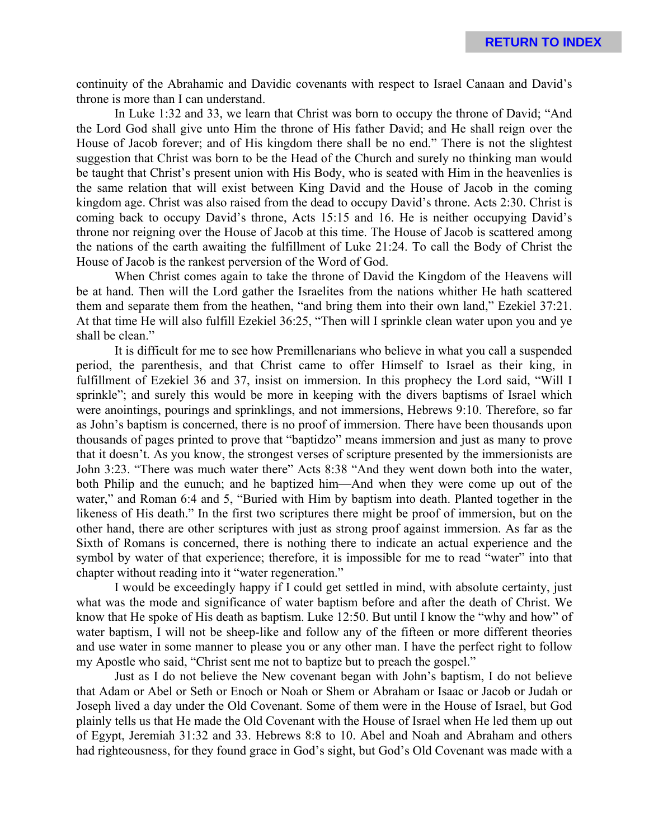continuity of the Abrahamic and Davidic covenants with respect to Israel Canaan and David's throne is more than I can understand.

In Luke 1:32 and 33, we learn that Christ was born to occupy the throne of David; "And the Lord God shall give unto Him the throne of His father David; and He shall reign over the House of Jacob forever; and of His kingdom there shall be no end." There is not the slightest suggestion that Christ was born to be the Head of the Church and surely no thinking man would be taught that Christ's present union with His Body, who is seated with Him in the heavenlies is the same relation that will exist between King David and the House of Jacob in the coming kingdom age. Christ was also raised from the dead to occupy David's throne. Acts 2:30. Christ is coming back to occupy David's throne, Acts 15:15 and 16. He is neither occupying David's throne nor reigning over the House of Jacob at this time. The House of Jacob is scattered among the nations of the earth awaiting the fulfillment of Luke 21:24. To call the Body of Christ the House of Jacob is the rankest perversion of the Word of God.

When Christ comes again to take the throne of David the Kingdom of the Heavens will be at hand. Then will the Lord gather the Israelites from the nations whither He hath scattered them and separate them from the heathen, "and bring them into their own land," Ezekiel 37:21. At that time He will also fulfill Ezekiel 36:25, "Then will I sprinkle clean water upon you and ye shall be clean."

It is difficult for me to see how Premillenarians who believe in what you call a suspended period, the parenthesis, and that Christ came to offer Himself to Israel as their king, in fulfillment of Ezekiel 36 and 37, insist on immersion. In this prophecy the Lord said, "Will I sprinkle"; and surely this would be more in keeping with the divers baptisms of Israel which were anointings, pourings and sprinklings, and not immersions, Hebrews 9:10. Therefore, so far as John's baptism is concerned, there is no proof of immersion. There have been thousands upon thousands of pages printed to prove that "baptidzo" means immersion and just as many to prove that it doesn't. As you know, the strongest verses of scripture presented by the immersionists are John 3:23. "There was much water there" Acts 8:38 "And they went down both into the water, both Philip and the eunuch; and he baptized him—And when they were come up out of the water," and Roman 6:4 and 5, "Buried with Him by baptism into death. Planted together in the likeness of His death." In the first two scriptures there might be proof of immersion, but on the other hand, there are other scriptures with just as strong proof against immersion. As far as the Sixth of Romans is concerned, there is nothing there to indicate an actual experience and the symbol by water of that experience; therefore, it is impossible for me to read "water" into that chapter without reading into it "water regeneration."

I would be exceedingly happy if I could get settled in mind, with absolute certainty, just what was the mode and significance of water baptism before and after the death of Christ. We know that He spoke of His death as baptism. Luke 12:50. But until I know the "why and how" of water baptism, I will not be sheep-like and follow any of the fifteen or more different theories and use water in some manner to please you or any other man. I have the perfect right to follow my Apostle who said, "Christ sent me not to baptize but to preach the gospel."

Just as I do not believe the New covenant began with John's baptism, I do not believe that Adam or Abel or Seth or Enoch or Noah or Shem or Abraham or Isaac or Jacob or Judah or Joseph lived a day under the Old Covenant. Some of them were in the House of Israel, but God plainly tells us that He made the Old Covenant with the House of Israel when He led them up out of Egypt, Jeremiah 31:32 and 33. Hebrews 8:8 to 10. Abel and Noah and Abraham and others had righteousness, for they found grace in God's sight, but God's Old Covenant was made with a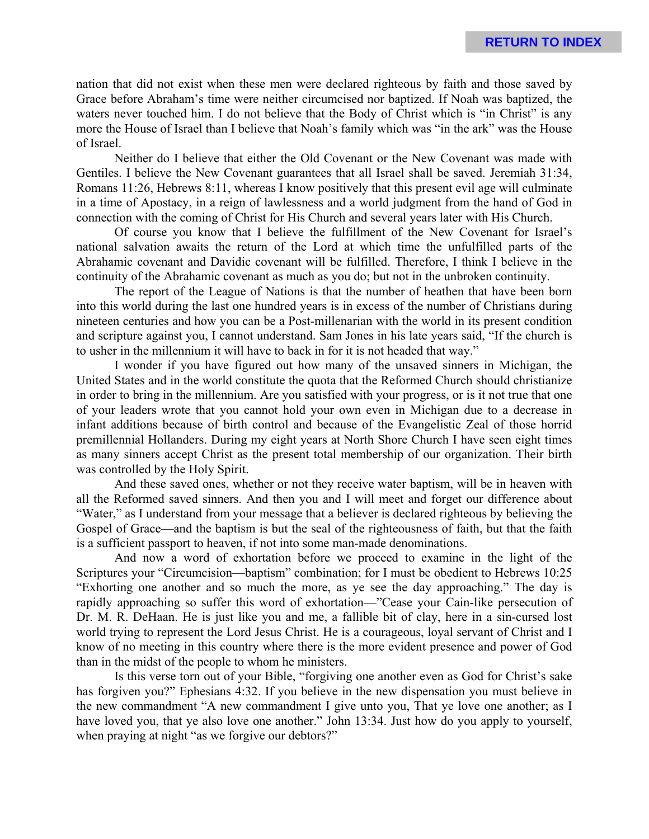nation that did not exist when these men were declared righteous by faith and those saved by Grace before Abraham's time were neither circumcised nor baptized. If Noah was baptized, the waters never touched him. I do not believe that the Body of Christ which is "in Christ" is any more the House of Israel than I believe that Noah's family which was "in the ark" was the House of Israel.

Neither do I believe that either the Old Covenant or the New Covenant was made with Gentiles. I believe the New Covenant guarantees that all Israel shall be saved. Jeremiah 31:34, Romans 11:26, Hebrews 8:11, whereas I know positively that this present evil age will culminate in a time of Apostacy, in a reign of lawlessness and a world judgment from the hand of God in connection with the coming of Christ for His Church and several years later with His Church.

Of course you know that I believe the fulfillment of the New Covenant for Israel's national salvation awaits the return of the Lord at which time the unfulfilled parts of the Abrahamic covenant and Davidic covenant will be fulfilled. Therefore, I think I believe in the continuity of the Abrahamic covenant as much as you do; but not in the unbroken continuity.

The report of the League of Nations is that the number of heathen that have been born into this world during the last one hundred years is in excess of the number of Christians during nineteen centuries and how you can be a Post-millenarian with the world in its present condition and scripture against you, I cannot understand. Sam Jones in his late years said, "If the church is to usher in the millennium it will have to back in for it is not headed that way."

I wonder if you have figured out how many of the unsaved sinners in Michigan, the United States and in the world constitute the quota that the Reformed Church should christianize in order to bring in the millennium. Are you satisfied with your progress, or is it not true that one of your leaders wrote that you cannot hold your own even in Michigan due to a decrease in infant additions because of birth control and because of the Evangelistic Zeal of those horrid premillennial Hollanders. During my eight years at North Shore Church I have seen eight times as many sinners accept Christ as the present total membership of our organization. Their birth was controlled by the Holy Spirit.

And these saved ones, whether or not they receive water baptism, will be in heaven with all the Reformed saved sinners. And then you and I will meet and forget our difference about "Water," as I understand from your message that a believer is declared righteous by believing the Gospel of Grace—and the baptism is but the seal of the righteousness of faith, but that the faith is a sufficient passport to heaven, if not into some man-made denominations.

And now a word of exhortation before we proceed to examine in the light of the Scriptures your "Circumcision—baptism" combination; for I must be obedient to Hebrews 10:25 "Exhorting one another and so much the more, as ye see the day approaching." The day is rapidly approaching so suffer this word of exhortation—"Cease your Cain-like persecution of Dr. M. R. DeHaan. He is just like you and me, a fallible bit of clay, here in a sin-cursed lost world trying to represent the Lord Jesus Christ. He is a courageous, loyal servant of Christ and I know of no meeting in this country where there is the more evident presence and power of God than in the midst of the people to whom he ministers.

Is this verse torn out of your Bible, "forgiving one another even as God for Christ's sake has forgiven you?" Ephesians 4:32. If you believe in the new dispensation you must believe in the new commandment "A new commandment I give unto you, That ye love one another; as I have loved you, that ye also love one another." John 13:34. Just how do you apply to yourself, when praying at night "as we forgive our debtors?"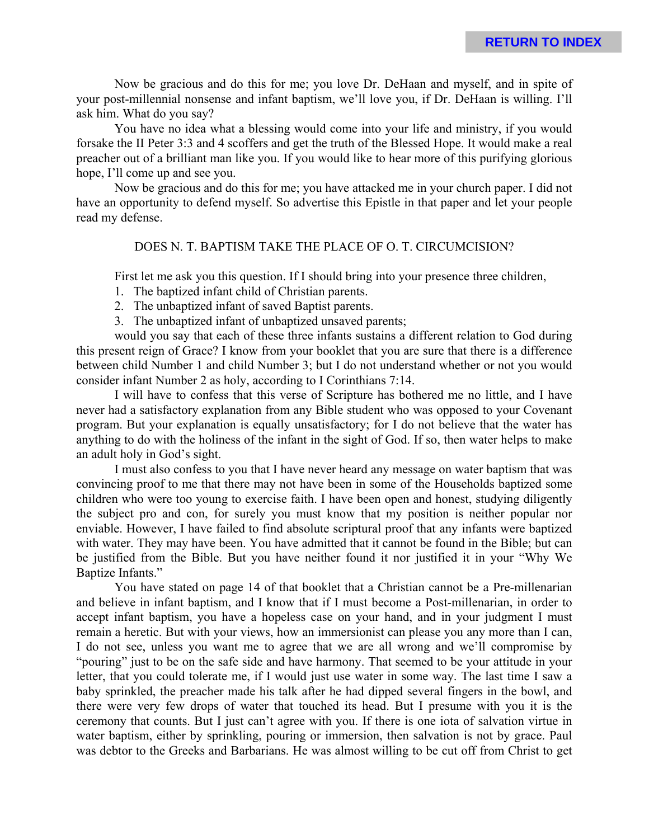Now be gracious and do this for me; you love Dr. DeHaan and myself, and in spite of your post-millennial nonsense and infant baptism, we'll love you, if Dr. DeHaan is willing. I'll ask him. What do you say?

You have no idea what a blessing would come into your life and ministry, if you would forsake the II Peter 3:3 and 4 scoffers and get the truth of the Blessed Hope. It would make a real preacher out of a brilliant man like you. If you would like to hear more of this purifying glorious hope, I'll come up and see you.

Now be gracious and do this for me; you have attacked me in your church paper. I did not have an opportunity to defend myself. So advertise this Epistle in that paper and let your people read my defense.

# DOES N. T. BAPTISM TAKE THE PLACE OF O. T. CIRCUMCISION?

First let me ask you this question. If I should bring into your presence three children,

- 1. The baptized infant child of Christian parents.
- 2. The unbaptized infant of saved Baptist parents.
- 3. The unbaptized infant of unbaptized unsaved parents;

would you say that each of these three infants sustains a different relation to God during this present reign of Grace? I know from your booklet that you are sure that there is a difference between child Number 1 and child Number 3; but I do not understand whether or not you would consider infant Number 2 as holy, according to I Corinthians 7:14.

I will have to confess that this verse of Scripture has bothered me no little, and I have never had a satisfactory explanation from any Bible student who was opposed to your Covenant program. But your explanation is equally unsatisfactory; for I do not believe that the water has anything to do with the holiness of the infant in the sight of God. If so, then water helps to make an adult holy in God's sight.

I must also confess to you that I have never heard any message on water baptism that was convincing proof to me that there may not have been in some of the Households baptized some children who were too young to exercise faith. I have been open and honest, studying diligently the subject pro and con, for surely you must know that my position is neither popular nor enviable. However, I have failed to find absolute scriptural proof that any infants were baptized with water. They may have been. You have admitted that it cannot be found in the Bible; but can be justified from the Bible. But you have neither found it nor justified it in your "Why We Baptize Infants."

You have stated on page 14 of that booklet that a Christian cannot be a Pre-millenarian and believe in infant baptism, and I know that if I must become a Post-millenarian, in order to accept infant baptism, you have a hopeless case on your hand, and in your judgment I must remain a heretic. But with your views, how an immersionist can please you any more than I can, I do not see, unless you want me to agree that we are all wrong and we'll compromise by "pouring" just to be on the safe side and have harmony. That seemed to be your attitude in your letter, that you could tolerate me, if I would just use water in some way. The last time I saw a baby sprinkled, the preacher made his talk after he had dipped several fingers in the bowl, and there were very few drops of water that touched its head. But I presume with you it is the ceremony that counts. But I just can't agree with you. If there is one iota of salvation virtue in water baptism, either by sprinkling, pouring or immersion, then salvation is not by grace. Paul was debtor to the Greeks and Barbarians. He was almost willing to be cut off from Christ to get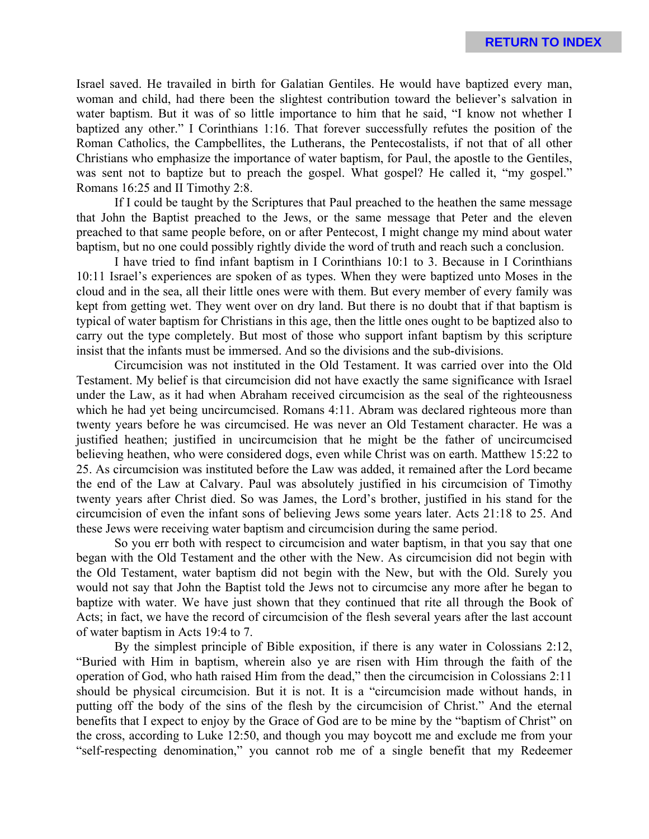Israel saved. He travailed in birth for Galatian Gentiles. He would have baptized every man, woman and child, had there been the slightest contribution toward the believer's salvation in water baptism. But it was of so little importance to him that he said, "I know not whether I baptized any other." I Corinthians 1:16. That forever successfully refutes the position of the Roman Catholics, the Campbellites, the Lutherans, the Pentecostalists, if not that of all other Christians who emphasize the importance of water baptism, for Paul, the apostle to the Gentiles, was sent not to baptize but to preach the gospel. What gospel? He called it, "my gospel." Romans 16:25 and II Timothy 2:8.

If I could be taught by the Scriptures that Paul preached to the heathen the same message that John the Baptist preached to the Jews, or the same message that Peter and the eleven preached to that same people before, on or after Pentecost, I might change my mind about water baptism, but no one could possibly rightly divide the word of truth and reach such a conclusion.

I have tried to find infant baptism in I Corinthians 10:1 to 3. Because in I Corinthians 10:11 Israel's experiences are spoken of as types. When they were baptized unto Moses in the cloud and in the sea, all their little ones were with them. But every member of every family was kept from getting wet. They went over on dry land. But there is no doubt that if that baptism is typical of water baptism for Christians in this age, then the little ones ought to be baptized also to carry out the type completely. But most of those who support infant baptism by this scripture insist that the infants must be immersed. And so the divisions and the sub-divisions.

Circumcision was not instituted in the Old Testament. It was carried over into the Old Testament. My belief is that circumcision did not have exactly the same significance with Israel under the Law, as it had when Abraham received circumcision as the seal of the righteousness which he had yet being uncircumcised. Romans 4:11. Abram was declared righteous more than twenty years before he was circumcised. He was never an Old Testament character. He was a justified heathen; justified in uncircumcision that he might be the father of uncircumcised believing heathen, who were considered dogs, even while Christ was on earth. Matthew 15:22 to 25. As circumcision was instituted before the Law was added, it remained after the Lord became the end of the Law at Calvary. Paul was absolutely justified in his circumcision of Timothy twenty years after Christ died. So was James, the Lord's brother, justified in his stand for the circumcision of even the infant sons of believing Jews some years later. Acts 21:18 to 25. And these Jews were receiving water baptism and circumcision during the same period.

So you err both with respect to circumcision and water baptism, in that you say that one began with the Old Testament and the other with the New. As circumcision did not begin with the Old Testament, water baptism did not begin with the New, but with the Old. Surely you would not say that John the Baptist told the Jews not to circumcise any more after he began to baptize with water. We have just shown that they continued that rite all through the Book of Acts; in fact, we have the record of circumcision of the flesh several years after the last account of water baptism in Acts 19:4 to 7.

By the simplest principle of Bible exposition, if there is any water in Colossians 2:12, "Buried with Him in baptism, wherein also ye are risen with Him through the faith of the operation of God, who hath raised Him from the dead," then the circumcision in Colossians 2:11 should be physical circumcision. But it is not. It is a "circumcision made without hands, in putting off the body of the sins of the flesh by the circumcision of Christ." And the eternal benefits that I expect to enjoy by the Grace of God are to be mine by the "baptism of Christ" on the cross, according to Luke 12:50, and though you may boycott me and exclude me from your "self-respecting denomination," you cannot rob me of a single benefit that my Redeemer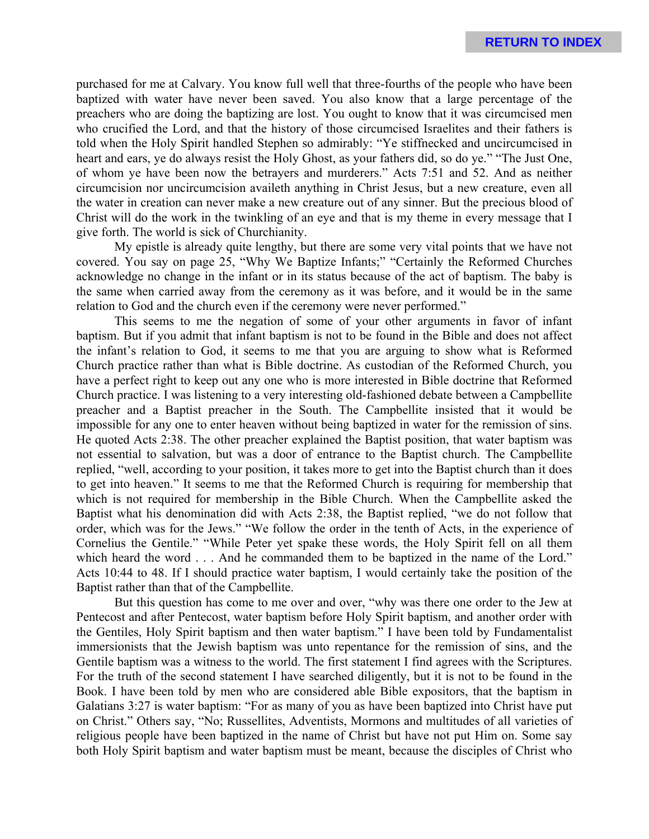purchased for me at Calvary. You know full well that three-fourths of the people who have been baptized with water have never been saved. You also know that a large percentage of the preachers who are doing the baptizing are lost. You ought to know that it was circumcised men who crucified the Lord, and that the history of those circumcised Israelites and their fathers is told when the Holy Spirit handled Stephen so admirably: "Ye stiffnecked and uncircumcised in heart and ears, ye do always resist the Holy Ghost, as your fathers did, so do ye." "The Just One, of whom ye have been now the betrayers and murderers." Acts 7:51 and 52. And as neither circumcision nor uncircumcision availeth anything in Christ Jesus, but a new creature, even all the water in creation can never make a new creature out of any sinner. But the precious blood of Christ will do the work in the twinkling of an eye and that is my theme in every message that I give forth. The world is sick of Churchianity.

My epistle is already quite lengthy, but there are some very vital points that we have not covered. You say on page 25, "Why We Baptize Infants;" "Certainly the Reformed Churches acknowledge no change in the infant or in its status because of the act of baptism. The baby is the same when carried away from the ceremony as it was before, and it would be in the same relation to God and the church even if the ceremony were never performed."

This seems to me the negation of some of your other arguments in favor of infant baptism. But if you admit that infant baptism is not to be found in the Bible and does not affect the infant's relation to God, it seems to me that you are arguing to show what is Reformed Church practice rather than what is Bible doctrine. As custodian of the Reformed Church, you have a perfect right to keep out any one who is more interested in Bible doctrine that Reformed Church practice. I was listening to a very interesting old-fashioned debate between a Campbellite preacher and a Baptist preacher in the South. The Campbellite insisted that it would be impossible for any one to enter heaven without being baptized in water for the remission of sins. He quoted Acts 2:38. The other preacher explained the Baptist position, that water baptism was not essential to salvation, but was a door of entrance to the Baptist church. The Campbellite replied, "well, according to your position, it takes more to get into the Baptist church than it does to get into heaven." It seems to me that the Reformed Church is requiring for membership that which is not required for membership in the Bible Church. When the Campbellite asked the Baptist what his denomination did with Acts 2:38, the Baptist replied, "we do not follow that order, which was for the Jews." "We follow the order in the tenth of Acts, in the experience of Cornelius the Gentile." "While Peter yet spake these words, the Holy Spirit fell on all them which heard the word . . . And he commanded them to be baptized in the name of the Lord." Acts 10:44 to 48. If I should practice water baptism, I would certainly take the position of the Baptist rather than that of the Campbellite.

But this question has come to me over and over, "why was there one order to the Jew at Pentecost and after Pentecost, water baptism before Holy Spirit baptism, and another order with the Gentiles, Holy Spirit baptism and then water baptism." I have been told by Fundamentalist immersionists that the Jewish baptism was unto repentance for the remission of sins, and the Gentile baptism was a witness to the world. The first statement I find agrees with the Scriptures. For the truth of the second statement I have searched diligently, but it is not to be found in the Book. I have been told by men who are considered able Bible expositors, that the baptism in Galatians 3:27 is water baptism: "For as many of you as have been baptized into Christ have put on Christ." Others say, "No; Russellites, Adventists, Mormons and multitudes of all varieties of religious people have been baptized in the name of Christ but have not put Him on. Some say both Holy Spirit baptism and water baptism must be meant, because the disciples of Christ who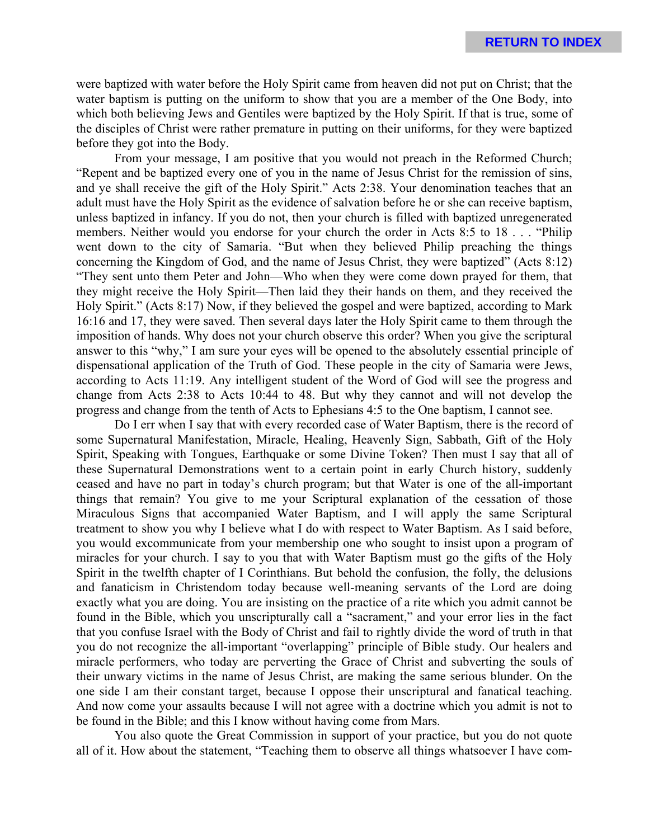were baptized with water before the Holy Spirit came from heaven did not put on Christ; that the water baptism is putting on the uniform to show that you are a member of the One Body, into which both believing Jews and Gentiles were baptized by the Holy Spirit. If that is true, some of the disciples of Christ were rather premature in putting on their uniforms, for they were baptized before they got into the Body.

From your message, I am positive that you would not preach in the Reformed Church; "Repent and be baptized every one of you in the name of Jesus Christ for the remission of sins, and ye shall receive the gift of the Holy Spirit." Acts 2:38. Your denomination teaches that an adult must have the Holy Spirit as the evidence of salvation before he or she can receive baptism, unless baptized in infancy. If you do not, then your church is filled with baptized unregenerated members. Neither would you endorse for your church the order in Acts 8:5 to 18 . . . "Philip went down to the city of Samaria. "But when they believed Philip preaching the things concerning the Kingdom of God, and the name of Jesus Christ, they were baptized" (Acts 8:12) "They sent unto them Peter and John—Who when they were come down prayed for them, that they might receive the Holy Spirit—Then laid they their hands on them, and they received the Holy Spirit." (Acts 8:17) Now, if they believed the gospel and were baptized, according to Mark 16:16 and 17, they were saved. Then several days later the Holy Spirit came to them through the imposition of hands. Why does not your church observe this order? When you give the scriptural answer to this "why," I am sure your eyes will be opened to the absolutely essential principle of dispensational application of the Truth of God. These people in the city of Samaria were Jews, according to Acts 11:19. Any intelligent student of the Word of God will see the progress and change from Acts 2:38 to Acts 10:44 to 48. But why they cannot and will not develop the progress and change from the tenth of Acts to Ephesians 4:5 to the One baptism, I cannot see.

Do I err when I say that with every recorded case of Water Baptism, there is the record of some Supernatural Manifestation, Miracle, Healing, Heavenly Sign, Sabbath, Gift of the Holy Spirit, Speaking with Tongues, Earthquake or some Divine Token? Then must I say that all of these Supernatural Demonstrations went to a certain point in early Church history, suddenly ceased and have no part in today's church program; but that Water is one of the all-important things that remain? You give to me your Scriptural explanation of the cessation of those Miraculous Signs that accompanied Water Baptism, and I will apply the same Scriptural treatment to show you why I believe what I do with respect to Water Baptism. As I said before, you would excommunicate from your membership one who sought to insist upon a program of miracles for your church. I say to you that with Water Baptism must go the gifts of the Holy Spirit in the twelfth chapter of I Corinthians. But behold the confusion, the folly, the delusions and fanaticism in Christendom today because well-meaning servants of the Lord are doing exactly what you are doing. You are insisting on the practice of a rite which you admit cannot be found in the Bible, which you unscripturally call a "sacrament," and your error lies in the fact that you confuse Israel with the Body of Christ and fail to rightly divide the word of truth in that you do not recognize the all-important "overlapping" principle of Bible study. Our healers and miracle performers, who today are perverting the Grace of Christ and subverting the souls of their unwary victims in the name of Jesus Christ, are making the same serious blunder. On the one side I am their constant target, because I oppose their unscriptural and fanatical teaching. And now come your assaults because I will not agree with a doctrine which you admit is not to be found in the Bible; and this I know without having come from Mars.

You also quote the Great Commission in support of your practice, but you do not quote all of it. How about the statement, "Teaching them to observe all things whatsoever I have com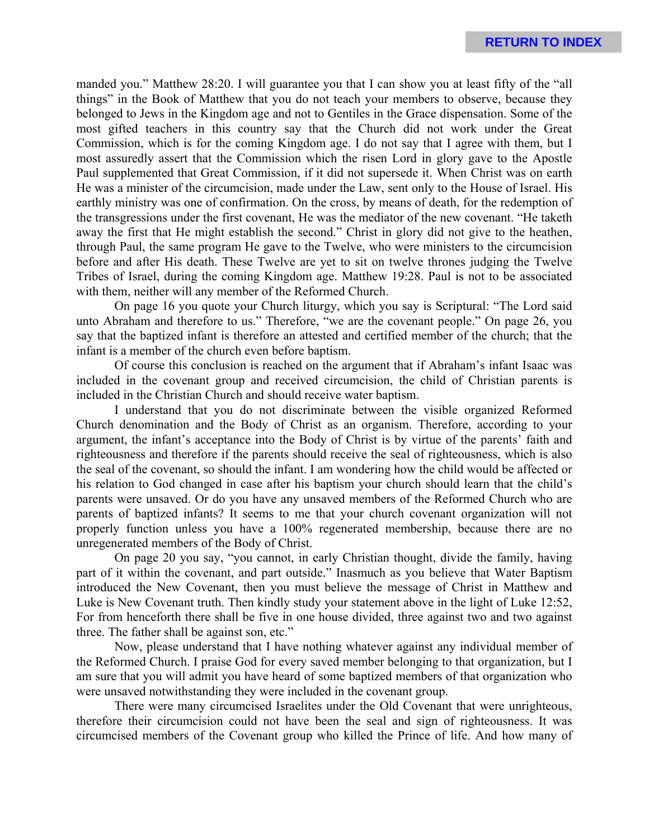manded you." Matthew 28:20. I will guarantee you that I can show you at least fifty of the "all things" in the Book of Matthew that you do not teach your members to observe, because they belonged to Jews in the Kingdom age and not to Gentiles in the Grace dispensation. Some of the most gifted teachers in this country say that the Church did not work under the Great Commission, which is for the coming Kingdom age. I do not say that I agree with them, but I most assuredly assert that the Commission which the risen Lord in glory gave to the Apostle Paul supplemented that Great Commission, if it did not supersede it. When Christ was on earth He was a minister of the circumcision, made under the Law, sent only to the House of Israel. His earthly ministry was one of confirmation. On the cross, by means of death, for the redemption of the transgressions under the first covenant, He was the mediator of the new covenant. "He taketh away the first that He might establish the second." Christ in glory did not give to the heathen, through Paul, the same program He gave to the Twelve, who were ministers to the circumcision before and after His death. These Twelve are yet to sit on twelve thrones judging the Twelve Tribes of Israel, during the coming Kingdom age. Matthew 19:28. Paul is not to be associated with them, neither will any member of the Reformed Church.

On page 16 you quote your Church liturgy, which you say is Scriptural: "The Lord said unto Abraham and therefore to us." Therefore, "we are the covenant people." On page 26, you say that the baptized infant is therefore an attested and certified member of the church; that the infant is a member of the church even before baptism.

Of course this conclusion is reached on the argument that if Abraham's infant Isaac was included in the covenant group and received circumcision, the child of Christian parents is included in the Christian Church and should receive water baptism.

I understand that you do not discriminate between the visible organized Reformed Church denomination and the Body of Christ as an organism. Therefore, according to your argument, the infant's acceptance into the Body of Christ is by virtue of the parents' faith and righteousness and therefore if the parents should receive the seal of righteousness, which is also the seal of the covenant, so should the infant. I am wondering how the child would be affected or his relation to God changed in case after his baptism your church should learn that the child's parents were unsaved. Or do you have any unsaved members of the Reformed Church who are parents of baptized infants? It seems to me that your church covenant organization will not properly function unless you have a 100% regenerated membership, because there are no unregenerated members of the Body of Christ.

On page 20 you say, "you cannot, in early Christian thought, divide the family, having part of it within the covenant, and part outside." Inasmuch as you believe that Water Baptism introduced the New Covenant, then you must believe the message of Christ in Matthew and Luke is New Covenant truth. Then kindly study your statement above in the light of Luke 12:52, For from henceforth there shall be five in one house divided, three against two and two against three. The father shall be against son, etc."

Now, please understand that I have nothing whatever against any individual member of the Reformed Church. I praise God for every saved member belonging to that organization, but I am sure that you will admit you have heard of some baptized members of that organization who were unsaved notwithstanding they were included in the covenant group.

There were many circumcised Israelites under the Old Covenant that were unrighteous, therefore their circumcision could not have been the seal and sign of righteousness. It was circumcised members of the Covenant group who killed the Prince of life. And how many of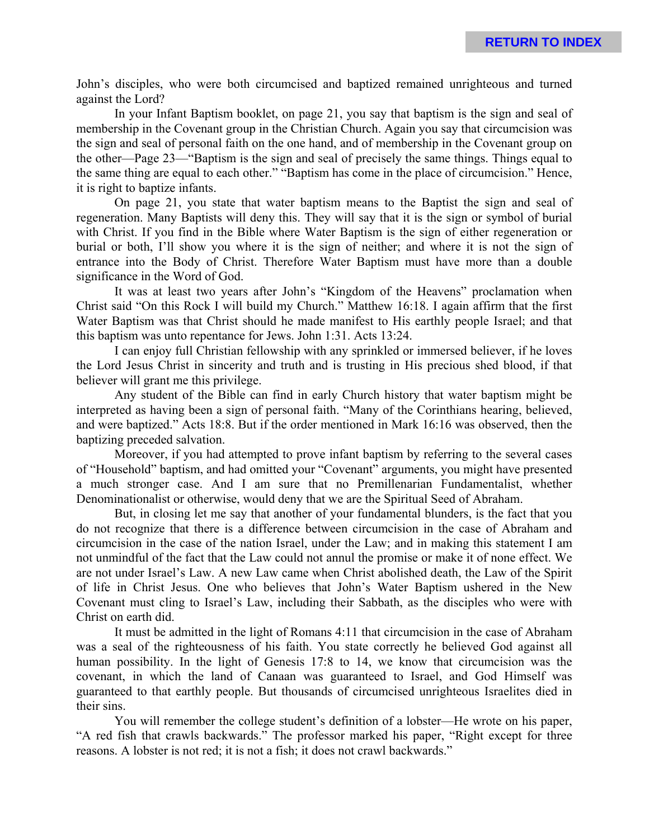John's disciples, who were both circumcised and baptized remained unrighteous and turned against the Lord?

In your Infant Baptism booklet, on page 21, you say that baptism is the sign and seal of membership in the Covenant group in the Christian Church. Again you say that circumcision was the sign and seal of personal faith on the one hand, and of membership in the Covenant group on the other—Page 23—"Baptism is the sign and seal of precisely the same things. Things equal to the same thing are equal to each other." "Baptism has come in the place of circumcision." Hence, it is right to baptize infants.

On page 21, you state that water baptism means to the Baptist the sign and seal of regeneration. Many Baptists will deny this. They will say that it is the sign or symbol of burial with Christ. If you find in the Bible where Water Baptism is the sign of either regeneration or burial or both, I'll show you where it is the sign of neither; and where it is not the sign of entrance into the Body of Christ. Therefore Water Baptism must have more than a double significance in the Word of God.

It was at least two years after John's "Kingdom of the Heavens" proclamation when Christ said "On this Rock I will build my Church." Matthew 16:18. I again affirm that the first Water Baptism was that Christ should he made manifest to His earthly people Israel; and that this baptism was unto repentance for Jews. John 1:31. Acts 13:24.

I can enjoy full Christian fellowship with any sprinkled or immersed believer, if he loves the Lord Jesus Christ in sincerity and truth and is trusting in His precious shed blood, if that believer will grant me this privilege.

Any student of the Bible can find in early Church history that water baptism might be interpreted as having been a sign of personal faith. "Many of the Corinthians hearing, believed, and were baptized." Acts 18:8. But if the order mentioned in Mark 16:16 was observed, then the baptizing preceded salvation.

Moreover, if you had attempted to prove infant baptism by referring to the several cases of "Household" baptism, and had omitted your "Covenant" arguments, you might have presented a much stronger case. And I am sure that no Premillenarian Fundamentalist, whether Denominationalist or otherwise, would deny that we are the Spiritual Seed of Abraham.

But, in closing let me say that another of your fundamental blunders, is the fact that you do not recognize that there is a difference between circumcision in the case of Abraham and circumcision in the case of the nation Israel, under the Law; and in making this statement I am not unmindful of the fact that the Law could not annul the promise or make it of none effect. We are not under Israel's Law. A new Law came when Christ abolished death, the Law of the Spirit of life in Christ Jesus. One who believes that John's Water Baptism ushered in the New Covenant must cling to Israel's Law, including their Sabbath, as the disciples who were with Christ on earth did.

It must be admitted in the light of Romans 4:11 that circumcision in the case of Abraham was a seal of the righteousness of his faith. You state correctly he believed God against all human possibility. In the light of Genesis 17:8 to 14, we know that circumcision was the covenant, in which the land of Canaan was guaranteed to Israel, and God Himself was guaranteed to that earthly people. But thousands of circumcised unrighteous Israelites died in their sins.

You will remember the college student's definition of a lobster—He wrote on his paper, "A red fish that crawls backwards." The professor marked his paper, "Right except for three reasons. A lobster is not red; it is not a fish; it does not crawl backwards."